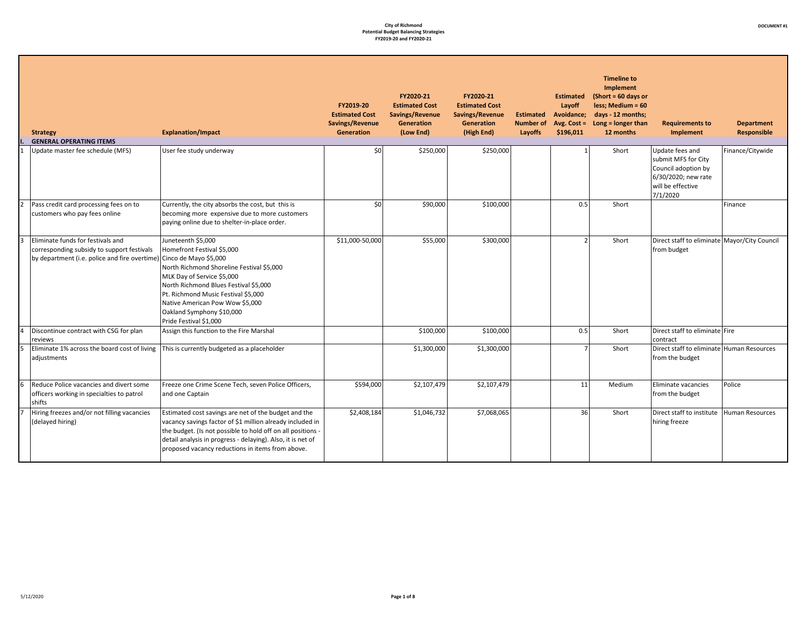| <b>Strategy</b><br><b>GENERAL OPERATING ITEMS</b>                                                                                | <b>Explanation/Impact</b>                                                                                                                                                                                                                                                                                                      | FY2019-20<br><b>Estimated Cost</b><br>Savings/Revenue<br>Generation | FY2020-21<br><b>Estimated Cost</b><br>Savings/Revenue<br><b>Generation</b><br>(Low End) | FY2020-21<br><b>Estimated Cost</b><br>Savings/Revenue<br><b>Generation</b><br>(High End) | <b>Estimated</b><br><b>Number of</b><br>Layoffs | <b>Estimated</b><br>Layoff<br>Avoidance;<br>Avg. $Cost =$<br>\$196,011 | <b>Timeline to</b><br>Implement<br>$(Short = 60 days or$<br>less; Medium = 60<br>days - 12 months;<br>Long $=$ longer than<br>12 months | <b>Requirements to</b><br><b>Implement</b>                                                                            | <b>Department</b><br><b>Responsible</b> |
|----------------------------------------------------------------------------------------------------------------------------------|--------------------------------------------------------------------------------------------------------------------------------------------------------------------------------------------------------------------------------------------------------------------------------------------------------------------------------|---------------------------------------------------------------------|-----------------------------------------------------------------------------------------|------------------------------------------------------------------------------------------|-------------------------------------------------|------------------------------------------------------------------------|-----------------------------------------------------------------------------------------------------------------------------------------|-----------------------------------------------------------------------------------------------------------------------|-----------------------------------------|
| Update master fee schedule (MFS)                                                                                                 | User fee study underway                                                                                                                                                                                                                                                                                                        | \$0                                                                 | \$250,000                                                                               | \$250,000                                                                                |                                                 |                                                                        | Short                                                                                                                                   | Update fees and<br>submit MFS for City<br>Council adoption by<br>6/30/2020; new rate<br>will be effective<br>7/1/2020 | Finance/Citywide                        |
| Pass credit card processing fees on to<br>customers who pay fees online                                                          | Currently, the city absorbs the cost, but this is<br>becoming more expensive due to more customers<br>paying online due to shelter-in-place order.                                                                                                                                                                             | \$0                                                                 | \$90,000                                                                                | \$100,000                                                                                |                                                 | 0.5                                                                    | Short                                                                                                                                   |                                                                                                                       | <b>Finance</b>                          |
| Eliminate funds for festivals and<br>corresponding subsidy to support festivals<br>by department (i.e. police and fire overtime) | Juneteenth \$5,000<br>Homefront Festival \$5,000<br>Cinco de Mayo \$5,000<br>North Richmond Shoreline Festival \$5,000<br>MLK Day of Service \$5,000<br>North Richmond Blues Festival \$5,000<br>Pt. Richmond Music Festival \$5,000<br>Native American Pow Wow \$5,000<br>Oakland Symphony \$10,000<br>Pride Festival \$1,000 | \$11,000-50,000                                                     | \$55,000                                                                                | \$300,000                                                                                |                                                 | $\mathcal{D}$                                                          | Short                                                                                                                                   | Direct staff to eliminate Mayor/City Council<br>from budget                                                           |                                         |
| Discontinue contract with CSG for plan<br>reviews                                                                                | Assign this function to the Fire Marshal                                                                                                                                                                                                                                                                                       |                                                                     | \$100,000                                                                               | \$100,000                                                                                |                                                 | 0.5                                                                    | Short                                                                                                                                   | Direct staff to eliminate Fire<br>contract                                                                            |                                         |
| Eliminate 1% across the board cost of living<br>adjustments                                                                      | This is currently budgeted as a placeholder                                                                                                                                                                                                                                                                                    |                                                                     | \$1,300,000                                                                             | \$1,300,000                                                                              |                                                 | $\overline{7}$                                                         | Short                                                                                                                                   | Direct staff to eliminate Human Resources<br>from the budget                                                          |                                         |
| Reduce Police vacancies and divert some<br>officers working in specialties to patrol<br>shifts                                   | Freeze one Crime Scene Tech, seven Police Officers,<br>and one Captain                                                                                                                                                                                                                                                         | \$594,000                                                           | \$2,107,479                                                                             | \$2,107,479                                                                              |                                                 | 11                                                                     | Medium                                                                                                                                  | Eliminate vacancies<br>from the budget                                                                                | Police                                  |
| Hiring freezes and/or not filling vacancies<br>(delayed hiring)                                                                  | Estimated cost savings are net of the budget and the<br>vacancy savings factor of \$1 million already included in<br>the budget. (Is not possible to hold off on all positions -<br>detail analysis in progress - delaying). Also, it is net of<br>proposed vacancy reductions in items from above.                            | \$2,408,184                                                         | \$1,046,732                                                                             | \$7,068,065                                                                              |                                                 | 36                                                                     | Short                                                                                                                                   | Direct staff to institute<br>hiring freeze                                                                            | Human Resources                         |

┓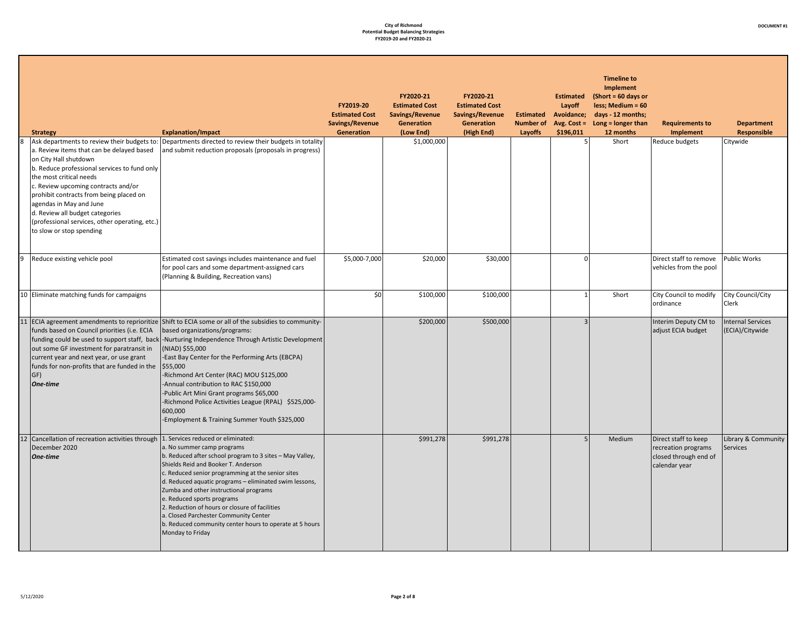## **DOCUMENT #1**

| <b>Strategy</b>                                                                                                                                                                                                                                                                                                                                                             | <b>Explanation/Impact</b>                                                                                                                                                                                                                                                                                                                                                                                                                                                                                                                                               | FY2019-20<br><b>Estimated Cost</b><br>Savings/Revenue<br><b>Generation</b> | FY2020-21<br><b>Estimated Cost</b><br>Savings/Revenue<br>Generation<br>(Low End) | FY2020-21<br><b>Estimated Cost</b><br>Savings/Revenue<br>Generation<br>(High End) | <b>Estimated</b><br>Layoff<br><b>Estimated</b><br>Avoidance;<br><b>Number of</b><br>Avg. Cost $=$<br>\$196,011<br>Layoffs | <b>Timeline to</b><br><b>Implement</b><br>$(Short = 60 days or$<br>less; Medium = 60<br>days - 12 months;<br>Long = longer than<br>12 months | <b>Requirements to</b><br>Implement                                                   | <b>Department</b><br><b>Responsible</b>     |
|-----------------------------------------------------------------------------------------------------------------------------------------------------------------------------------------------------------------------------------------------------------------------------------------------------------------------------------------------------------------------------|-------------------------------------------------------------------------------------------------------------------------------------------------------------------------------------------------------------------------------------------------------------------------------------------------------------------------------------------------------------------------------------------------------------------------------------------------------------------------------------------------------------------------------------------------------------------------|----------------------------------------------------------------------------|----------------------------------------------------------------------------------|-----------------------------------------------------------------------------------|---------------------------------------------------------------------------------------------------------------------------|----------------------------------------------------------------------------------------------------------------------------------------------|---------------------------------------------------------------------------------------|---------------------------------------------|
| a. Review items that can be delayed based<br>on City Hall shutdown<br>b. Reduce professional services to fund only<br>the most critical needs<br>c. Review upcoming contracts and/or<br>prohibit contracts from being placed on<br>agendas in May and June<br>d. Review all budget categories<br>(professional services, other operating, etc.)<br>to slow or stop spending | Ask departments to review their budgets to: Departments directed to review their budgets in totality<br>and submit reduction proposals (proposals in progress)                                                                                                                                                                                                                                                                                                                                                                                                          |                                                                            | \$1,000,000                                                                      |                                                                                   |                                                                                                                           | 5 <sup>1</sup><br>Short                                                                                                                      | Reduce budgets                                                                        | Citywide                                    |
| Reduce existing vehicle pool                                                                                                                                                                                                                                                                                                                                                | Estimated cost savings includes maintenance and fuel<br>for pool cars and some department-assigned cars<br>(Planning & Building, Recreation vans)                                                                                                                                                                                                                                                                                                                                                                                                                       | \$5,000-7,000                                                              | \$20,000                                                                         | \$30,000                                                                          |                                                                                                                           | $\Omega$                                                                                                                                     | Direct staff to remove<br>vehicles from the pool                                      | <b>Public Works</b>                         |
| 10 Eliminate matching funds for campaigns                                                                                                                                                                                                                                                                                                                                   |                                                                                                                                                                                                                                                                                                                                                                                                                                                                                                                                                                         | \$0                                                                        | \$100,000                                                                        | \$100,000                                                                         |                                                                                                                           | Short<br>$1\overline{ }$                                                                                                                     | City Council to modify<br>ordinance                                                   | City Council/City<br>Clerk                  |
| funds based on Council priorities (i.e. ECIA<br>out some GF investment for paratransit in<br>current year and next year, or use grant<br>funds for non-profits that are funded in the $\frac{155,000}{2}$<br>GF)<br>One-time                                                                                                                                                | 11 ECIA agreement amendments to reprioritize Shift to ECIA some or all of the subsidies to community-<br>based organizations/programs:<br>funding could be used to support staff, back -Nurturing Independence Through Artistic Development<br>(NIAD) \$55,000<br>-East Bay Center for the Performing Arts (EBCPA)<br>-Richmond Art Center (RAC) MOU \$125,000<br>-Annual contribution to RAC \$150,000<br>-Public Art Mini Grant programs \$65,000<br>-Richmond Police Activities League (RPAL) \$525,000-<br>600,000<br>-Employment & Training Summer Youth \$325,000 |                                                                            | \$200,000                                                                        | \$500,000                                                                         |                                                                                                                           | $\overline{3}$                                                                                                                               | Interim Deputy CM to<br>adjust ECIA budget                                            | <b>Internal Services</b><br>(ECIA)/Citywide |
| 12 Cancellation of recreation activities through 1. Services reduced or eliminated:<br>December 2020<br>One-time                                                                                                                                                                                                                                                            | a. No summer camp programs<br>b. Reduced after school program to 3 sites - May Valley,<br>Shields Reid and Booker T. Anderson<br>c. Reduced senior programming at the senior sites<br>d. Reduced aquatic programs - eliminated swim lessons,<br>Zumba and other instructional programs<br>e. Reduced sports programs<br>2. Reduction of hours or closure of facilities<br>a. Closed Parchester Community Center<br>b. Reduced community center hours to operate at 5 hours<br>Monday to Friday                                                                          |                                                                            | \$991,278                                                                        | \$991,278                                                                         |                                                                                                                           | 5<br>Medium                                                                                                                                  | Direct staff to keep<br>recreation programs<br>closed through end of<br>calendar year | Library & Community<br><b>Services</b>      |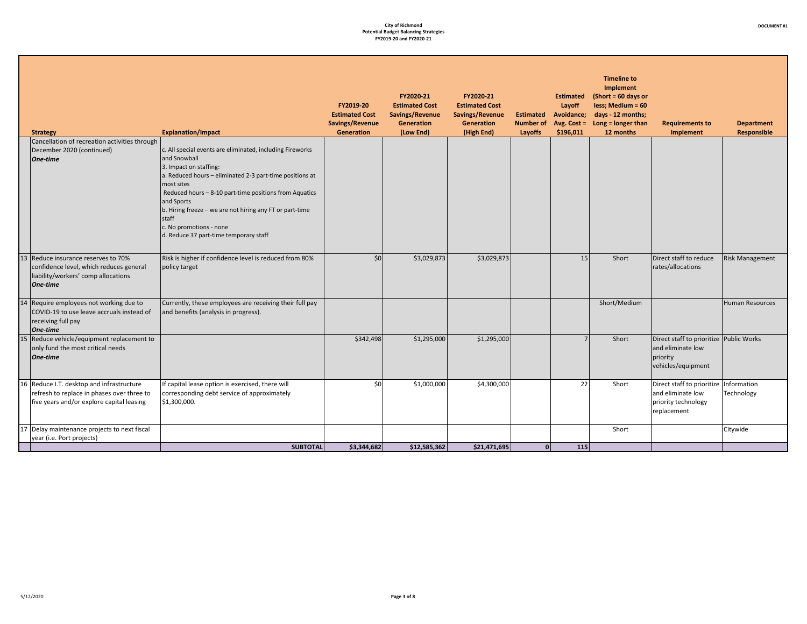| c. All special events are eliminated, including Fireworks<br>December 2020 (continued)<br>and Snowball<br>One-time<br>3. Impact on staffing:<br>a. Reduced hours - eliminated 2-3 part-time positions at<br>most sites<br>Reduced hours - 8-10 part-time positions from Aquatics<br>and Sports<br>b. Hiring freeze - we are not hiring any FT or part-time<br>staff<br>c. No promotions - none<br>d. Reduce 37 part-time temporary staff<br>\$0<br>Risk is higher if confidence level is reduced from 80%<br>\$3,029,873<br>15 <sup>1</sup><br>Short<br>Direct staff to reduce<br>\$3,029,873<br><b>Risk Management</b><br>rates/allocations<br>confidence level, which reduces general<br>policy target<br>liability/workers' comp allocations<br>One-time<br>Currently, these employees are receiving their full pay<br>Short/Medium<br>Human Resources<br>COVID-19 to use leave accruals instead of<br>and benefits (analysis in progress).<br>receiving full pay<br>One-time<br>Direct staff to prioritize Public Works<br>\$342,498<br>\$1,295,000<br>\$1,295,000<br>$\overline{7}$<br>Short<br>only fund the most critical needs<br>and eliminate low<br>One-time<br>priority<br>vehicles/equipment<br>\$0<br>Direct staff to prioritize<br>Information<br>If capital lease option is exercised, there will<br>\$1,000,000<br>\$4,300,000<br>22<br>Short<br>refresh to replace in phases over three to<br>and eliminate low<br>Technology<br>corresponding debt service of approximately<br>five years and/or explore capital leasing<br>\$1,300,000.<br>priority technology<br>replacement<br>Short<br>Citywide<br>year (i.e. Port projects) | <b>Strategy</b>                               | <b>Explanation/Impact</b> | FY2019-20<br><b>Estimated Cost</b><br>Savings/Revenue<br>Generation | FY2020-21<br><b>Estimated Cost</b><br>Savings/Revenue<br><b>Generation</b><br>(Low End) | FY2020-21<br><b>Estimated Cost</b><br>Savings/Revenue<br>Generation<br>(High End) | <b>Estimated</b><br><b>Number of</b><br>Layoffs | <b>Estimated</b><br>Layoff<br>Avoidance;<br>Avg. $Cost =$<br>\$196,011 | <b>Timeline to</b><br><b>Implement</b><br>$(Short = 60 days or$<br>less; Medium = 60<br>days - 12 months;<br>Long = longer than<br>12 months | <b>Requirements to</b><br>Implement | <b>Department</b><br>Responsible |
|-----------------------------------------------------------------------------------------------------------------------------------------------------------------------------------------------------------------------------------------------------------------------------------------------------------------------------------------------------------------------------------------------------------------------------------------------------------------------------------------------------------------------------------------------------------------------------------------------------------------------------------------------------------------------------------------------------------------------------------------------------------------------------------------------------------------------------------------------------------------------------------------------------------------------------------------------------------------------------------------------------------------------------------------------------------------------------------------------------------------------------------------------------------------------------------------------------------------------------------------------------------------------------------------------------------------------------------------------------------------------------------------------------------------------------------------------------------------------------------------------------------------------------------------------------------------------------------------------------------------------------------------------------|-----------------------------------------------|---------------------------|---------------------------------------------------------------------|-----------------------------------------------------------------------------------------|-----------------------------------------------------------------------------------|-------------------------------------------------|------------------------------------------------------------------------|----------------------------------------------------------------------------------------------------------------------------------------------|-------------------------------------|----------------------------------|
|                                                                                                                                                                                                                                                                                                                                                                                                                                                                                                                                                                                                                                                                                                                                                                                                                                                                                                                                                                                                                                                                                                                                                                                                                                                                                                                                                                                                                                                                                                                                                                                                                                                     | Cancellation of recreation activities through |                           |                                                                     |                                                                                         |                                                                                   |                                                 |                                                                        |                                                                                                                                              |                                     |                                  |
|                                                                                                                                                                                                                                                                                                                                                                                                                                                                                                                                                                                                                                                                                                                                                                                                                                                                                                                                                                                                                                                                                                                                                                                                                                                                                                                                                                                                                                                                                                                                                                                                                                                     | 13 Reduce insurance reserves to 70%           |                           |                                                                     |                                                                                         |                                                                                   |                                                 |                                                                        |                                                                                                                                              |                                     |                                  |
|                                                                                                                                                                                                                                                                                                                                                                                                                                                                                                                                                                                                                                                                                                                                                                                                                                                                                                                                                                                                                                                                                                                                                                                                                                                                                                                                                                                                                                                                                                                                                                                                                                                     | 14 Require employees not working due to       |                           |                                                                     |                                                                                         |                                                                                   |                                                 |                                                                        |                                                                                                                                              |                                     |                                  |
|                                                                                                                                                                                                                                                                                                                                                                                                                                                                                                                                                                                                                                                                                                                                                                                                                                                                                                                                                                                                                                                                                                                                                                                                                                                                                                                                                                                                                                                                                                                                                                                                                                                     | 15 Reduce vehicle/equipment replacement to    |                           |                                                                     |                                                                                         |                                                                                   |                                                 |                                                                        |                                                                                                                                              |                                     |                                  |
|                                                                                                                                                                                                                                                                                                                                                                                                                                                                                                                                                                                                                                                                                                                                                                                                                                                                                                                                                                                                                                                                                                                                                                                                                                                                                                                                                                                                                                                                                                                                                                                                                                                     | 16 Reduce I.T. desktop and infrastructure     |                           |                                                                     |                                                                                         |                                                                                   |                                                 |                                                                        |                                                                                                                                              |                                     |                                  |
|                                                                                                                                                                                                                                                                                                                                                                                                                                                                                                                                                                                                                                                                                                                                                                                                                                                                                                                                                                                                                                                                                                                                                                                                                                                                                                                                                                                                                                                                                                                                                                                                                                                     | 17 Delay maintenance projects to next fiscal  | <b>SUBTOTAL</b>           | \$3,344,682                                                         | \$12,585,362                                                                            | \$21,471,695                                                                      | $\Omega$                                        | 115                                                                    |                                                                                                                                              |                                     |                                  |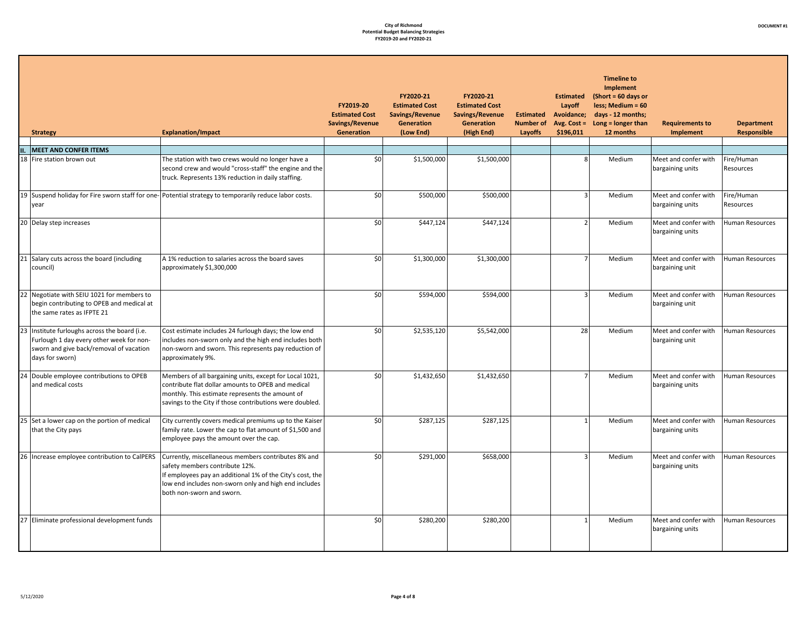|        | <b>Strategy</b>                                                                                                                                      | <b>Explanation/Impact</b>                                                                                                                                                                                                                | FY2019-20<br><b>Estimated Cost</b><br>Savings/Revenue<br>Generation | FY2020-21<br><b>Estimated Cost</b><br>Savings/Revenue<br>Generation<br>(Low End) | FY2020-21<br><b>Estimated Cost</b><br>Savings/Revenue<br>Generation<br>(High End) | <b>Estimated</b><br><b>Number of</b><br>Layoffs | <b>Estimated</b><br>Layoff<br>Avoidance;<br>Avg. $Cost =$<br>\$196,011 | <b>Timeline to</b><br><b>Implement</b><br>$(Short = 60 days or$<br>less; Medium = 60<br>days - 12 months;<br>Long = longer than<br>12 months | <b>Requirements to</b><br>Implement      | <b>Department</b><br><b>Responsible</b> |
|--------|------------------------------------------------------------------------------------------------------------------------------------------------------|------------------------------------------------------------------------------------------------------------------------------------------------------------------------------------------------------------------------------------------|---------------------------------------------------------------------|----------------------------------------------------------------------------------|-----------------------------------------------------------------------------------|-------------------------------------------------|------------------------------------------------------------------------|----------------------------------------------------------------------------------------------------------------------------------------------|------------------------------------------|-----------------------------------------|
| II.    | <b>MEET AND CONFER ITEMS</b>                                                                                                                         |                                                                                                                                                                                                                                          |                                                                     |                                                                                  |                                                                                   |                                                 |                                                                        |                                                                                                                                              |                                          |                                         |
|        | 18 Fire station brown out                                                                                                                            | The station with two crews would no longer have a<br>second crew and would "cross-staff" the engine and the<br>truck. Represents 13% reduction in daily staffing.                                                                        | \$0                                                                 | \$1,500,000                                                                      | \$1,500,000                                                                       |                                                 | $\mathbf{g}$                                                           | Medium                                                                                                                                       | Meet and confer with<br>bargaining units | Fire/Human<br>Resources                 |
|        | year                                                                                                                                                 | 19 Suspend holiday for Fire sworn staff for one- Potential strategy to temporarily reduce labor costs.                                                                                                                                   | \$0                                                                 | \$500,000                                                                        | \$500,000                                                                         |                                                 | $\overline{3}$                                                         | Medium                                                                                                                                       | Meet and confer with<br>bargaining units | Fire/Human<br>Resources                 |
|        | 20 Delay step increases                                                                                                                              |                                                                                                                                                                                                                                          | \$0                                                                 | \$447,124                                                                        | \$447,124                                                                         |                                                 | $\overline{2}$                                                         | Medium                                                                                                                                       | Meet and confer with<br>bargaining units | <b>Human Resources</b>                  |
|        | 21 Salary cuts across the board (including<br>council)                                                                                               | A 1% reduction to salaries across the board saves<br>approximately \$1,300,000                                                                                                                                                           | \$0                                                                 | \$1,300,000                                                                      | \$1,300,000                                                                       |                                                 | $\overline{7}$                                                         | Medium                                                                                                                                       | Meet and confer with<br>bargaining unit  | Human Resources                         |
|        | Negotiate with SEIU 1021 for members to<br>begin contributing to OPEB and medical at<br>the same rates as IFPTE 21                                   |                                                                                                                                                                                                                                          | \$0                                                                 | \$594,000                                                                        | \$594,000                                                                         |                                                 | $\overline{3}$                                                         | Medium                                                                                                                                       | Meet and confer with<br>bargaining unit  | Human Resources                         |
| 23 I   | Institute furloughs across the board (i.e.<br>Furlough 1 day every other week for non-<br>sworn and give back/removal of vacation<br>days for sworn) | Cost estimate includes 24 furlough days; the low end<br>includes non-sworn only and the high end includes both<br>non-sworn and sworn. This represents pay reduction of<br>approximately 9%.                                             | \$0                                                                 | \$2,535,120                                                                      | \$5,542,000                                                                       |                                                 | 28                                                                     | Medium                                                                                                                                       | Meet and confer with<br>bargaining unit  | Human Resources                         |
|        | Double employee contributions to OPEB<br>and medical costs                                                                                           | Members of all bargaining units, except for Local 1021,<br>contribute flat dollar amounts to OPEB and medical<br>monthly. This estimate represents the amount of<br>savings to the City if those contributions were doubled.             | \$0                                                                 | \$1,432,650                                                                      | \$1,432,650                                                                       |                                                 | 7 <sup>1</sup>                                                         | Medium                                                                                                                                       | Meet and confer with<br>bargaining units | Human Resources                         |
|        | 25 Set a lower cap on the portion of medical<br>that the City pays                                                                                   | City currently covers medical premiums up to the Kaiser<br>family rate. Lower the cap to flat amount of \$1,500 and<br>employee pays the amount over the cap.                                                                            | \$0                                                                 | \$287,125                                                                        | \$287,125                                                                         |                                                 | $\mathbf{1}$                                                           | Medium                                                                                                                                       | Meet and confer with<br>bargaining units | <b>Human Resources</b>                  |
| $26 -$ | Increase employee contribution to CalPERS                                                                                                            | Currently, miscellaneous members contributes 8% and<br>safety members contribute 12%.<br>If employees pay an additional 1% of the City's cost, the<br>low end includes non-sworn only and high end includes<br>both non-sworn and sworn. | \$0                                                                 | \$291,000                                                                        | \$658,000                                                                         |                                                 | ξ                                                                      | Medium                                                                                                                                       | Meet and confer with<br>bargaining units | Human Resources                         |
|        | 27 Eliminate professional development funds                                                                                                          |                                                                                                                                                                                                                                          | \$0                                                                 | \$280,200                                                                        | \$280,200                                                                         |                                                 | $\mathbf{1}$                                                           | Medium                                                                                                                                       | Meet and confer with<br>bargaining units | Human Resources                         |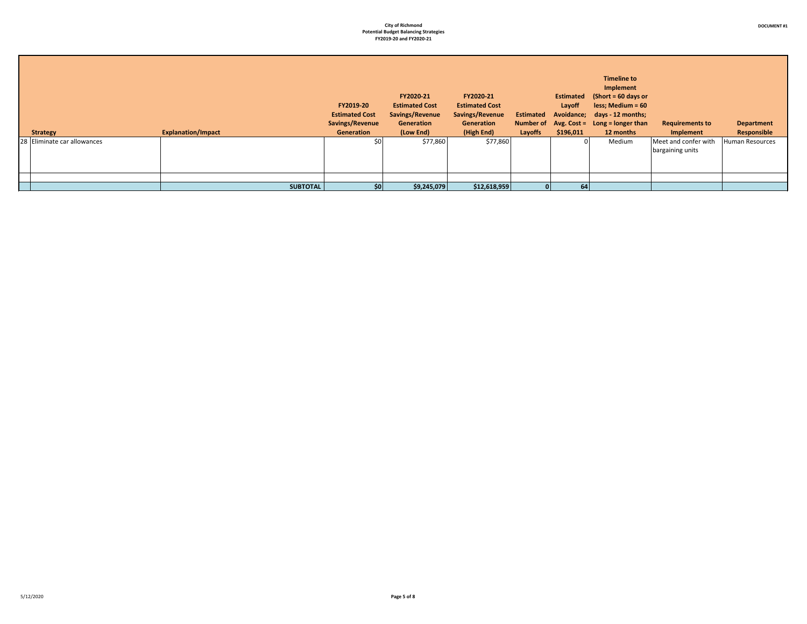**DOCUMENT #1**

| <b>Strategy</b>             | <b>Explanation/Impact</b> | FY2019-20<br><b>Estimated Cost</b><br>Savings/Revenue<br>Generation | FY2020-21<br><b>Estimated Cost</b><br>Savings/Revenue<br>Generation<br>(Low End) | FY2020-21<br><b>Estimated Cost</b><br>Savings/Revenue<br>Generation<br>(High End) | <b>Estimated</b><br>Layoffs | Layoff<br>\$196,011 | <b>Timeline to</b><br>Implement<br>Estimated (Short = 60 days or<br>$less; Medium = 60$<br>Avoidance; days - 12 months;<br>Number of $Avg. Cost = Long = longer than$<br>12 months | <b>Requirements to</b><br>Implement      | <b>Department</b><br>Responsible |
|-----------------------------|---------------------------|---------------------------------------------------------------------|----------------------------------------------------------------------------------|-----------------------------------------------------------------------------------|-----------------------------|---------------------|------------------------------------------------------------------------------------------------------------------------------------------------------------------------------------|------------------------------------------|----------------------------------|
| 28 Eliminate car allowances |                           | \$0                                                                 | \$77,860                                                                         | \$77,860                                                                          |                             | $\Omega$            | Medium                                                                                                                                                                             | Meet and confer with<br>bargaining units | Human Resources                  |
|                             |                           |                                                                     |                                                                                  |                                                                                   |                             |                     |                                                                                                                                                                                    |                                          |                                  |
|                             | <b>SUBTOTAL</b>           | \$0 <sub>1</sub>                                                    | \$9,245,079                                                                      | \$12,618,959                                                                      |                             | 64                  |                                                                                                                                                                                    |                                          |                                  |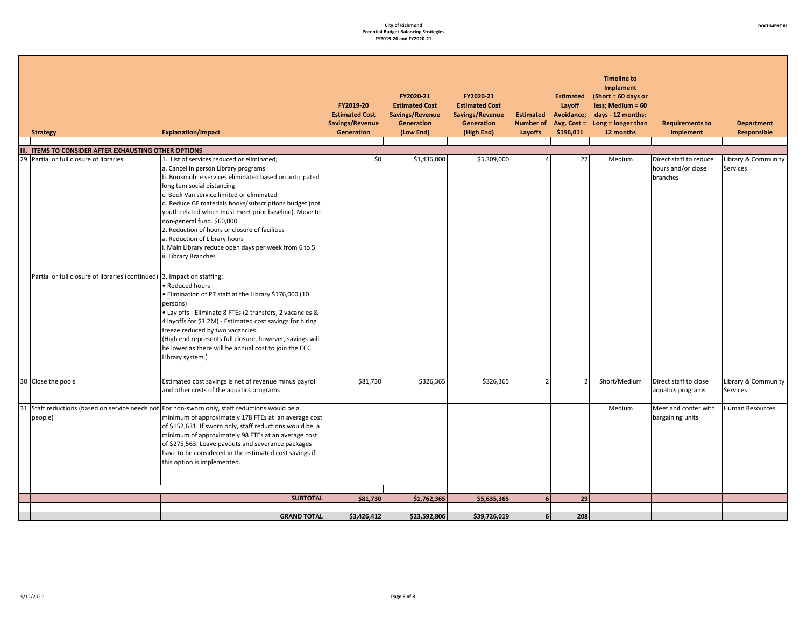| <b>Strategy</b>                                                                                                    | <b>Explanation/Impact</b>                                                                                                                                                                                                                                                                                                                                                                                                                                                                                                                                        | FY2019-20<br><b>Estimated Cost</b><br>Savings/Revenue<br>Generation | FY2020-21<br><b>Estimated Cost</b><br>Savings/Revenue<br>Generation<br>(Low End) | FY2020-21<br><b>Estimated Cost</b><br>Savings/Revenue<br><b>Generation</b><br>(High End) | Layoffs        | <b>Estimated</b><br>Layoff<br><b>Estimated Avoidance;</b><br>\$196,011 | <b>Timeline to</b><br>Implement<br>$(Short = 60 days or$<br>less; Medium = 60<br>days - 12 months;<br>Number of $Avg. Cost = Long = longer than$<br>12 months | <b>Requirements to</b><br>Implement                      | <b>Department</b><br>Responsible |
|--------------------------------------------------------------------------------------------------------------------|------------------------------------------------------------------------------------------------------------------------------------------------------------------------------------------------------------------------------------------------------------------------------------------------------------------------------------------------------------------------------------------------------------------------------------------------------------------------------------------------------------------------------------------------------------------|---------------------------------------------------------------------|----------------------------------------------------------------------------------|------------------------------------------------------------------------------------------|----------------|------------------------------------------------------------------------|---------------------------------------------------------------------------------------------------------------------------------------------------------------|----------------------------------------------------------|----------------------------------|
| III. ITEMS TO CONSIDER AFTER EXHAUSTING OTHER OPTIONS                                                              |                                                                                                                                                                                                                                                                                                                                                                                                                                                                                                                                                                  |                                                                     |                                                                                  |                                                                                          |                |                                                                        |                                                                                                                                                               |                                                          |                                  |
| 29 Partial or full closure of libraries<br>Partial or full closure of libraries (continued) 3. Impact on staffing: | 1. List of services reduced or eliminated;<br>a. Cancel in person Library programs<br>b. Bookmobile services eliminated based on anticipated<br>long tem social distancing<br>c. Book Van service limited or eliminated<br>d. Reduce GF materials books/subscriptions budget (not<br>youth related which must meet prior baseline). Move to<br>non-general fund. \$60,000<br>2. Reduction of hours or closure of facilities<br>a. Reduction of Library hours<br>i. Main Library reduce open days per week from 6 to 5<br>ii. Library Branches<br>• Reduced hours | \$0                                                                 | \$1,436,000                                                                      | \$5,309,000                                                                              |                | 27                                                                     | Medium                                                                                                                                                        | Direct staff to reduce<br>hours and/or close<br>branches | Library & Community<br>Services  |
|                                                                                                                    | . Elimination of PT staff at the Library \$176,000 (10<br>persons)<br>· Lay offs - Eliminate 8 FTEs (2 transfers, 2 vacancies &<br>4 layoffs for \$1.2M) - Estimated cost savings for hiring<br>freeze reduced by two vacancies.<br>(High end represents full closure, however, savings will<br>be lower as there will be annual cost to join the CCC<br>Library system.)                                                                                                                                                                                        |                                                                     |                                                                                  |                                                                                          |                |                                                                        |                                                                                                                                                               |                                                          |                                  |
| 30 Close the pools                                                                                                 | Estimated cost savings is net of revenue minus payroll<br>and other costs of the aquatics programs                                                                                                                                                                                                                                                                                                                                                                                                                                                               | \$81,730                                                            | \$326,365                                                                        | \$326,365                                                                                | 2 <sup>1</sup> | $\overline{2}$                                                         | Short/Medium                                                                                                                                                  | Direct staff to close<br>aquatics programs               | Library & Community<br>Services  |
| people)                                                                                                            | 31 Staff reductions (based on service needs not For non-sworn only, staff reductions would be a<br>minimum of approximately 178 FTEs at an average cost<br>of \$152,631. If sworn only, staff reductions would be a<br>minimum of approximately 98 FTEs at an average cost<br>of \$275,563. Leave payouts and severance packages<br>have to be considered in the estimated cost savings if<br>this option is implemented.                                                                                                                                        |                                                                     |                                                                                  |                                                                                          |                |                                                                        | Medium                                                                                                                                                        | Meet and confer with<br>bargaining units                 | Human Resources                  |
|                                                                                                                    | <b>SUBTOTAL</b>                                                                                                                                                                                                                                                                                                                                                                                                                                                                                                                                                  | \$81,730                                                            | \$1,762,365                                                                      | \$5,635,365                                                                              | 6 <sup>1</sup> | 29                                                                     |                                                                                                                                                               |                                                          |                                  |
|                                                                                                                    |                                                                                                                                                                                                                                                                                                                                                                                                                                                                                                                                                                  |                                                                     |                                                                                  |                                                                                          |                |                                                                        |                                                                                                                                                               |                                                          |                                  |
|                                                                                                                    | <b>GRAND TOTAL</b>                                                                                                                                                                                                                                                                                                                                                                                                                                                                                                                                               | \$3,426,412                                                         | \$23,592,806                                                                     | \$39,726,019                                                                             | 6 <sup>1</sup> | 208                                                                    |                                                                                                                                                               |                                                          |                                  |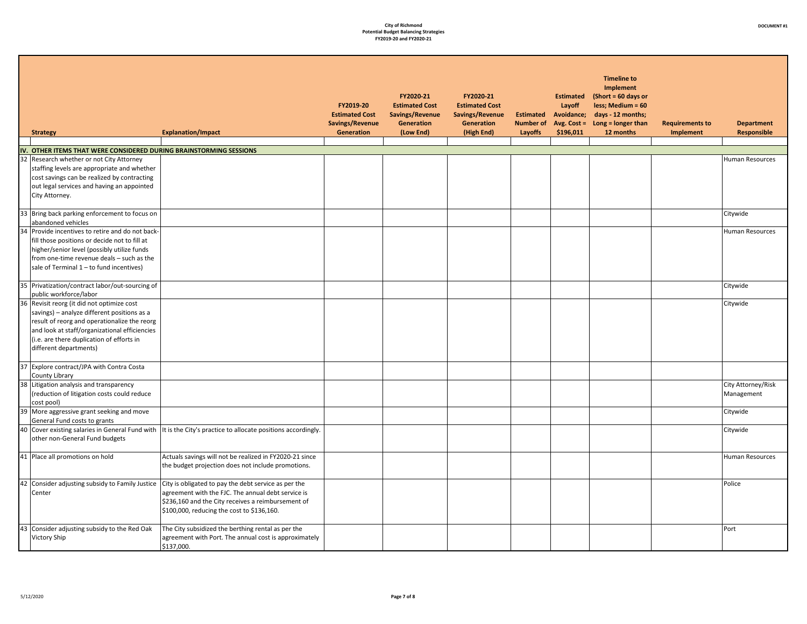| <b>Strategy</b>                                                                                                                                                                                                                                                   | <b>Explanation/Impact</b>                                                                                                                                                                                      | FY2019-20<br><b>Estimated Cost</b><br>Savings/Revenue<br><b>Generation</b> | FY2020-21<br><b>Estimated Cost</b><br>Savings/Revenue<br><b>Generation</b><br>(Low End) | FY2020-21<br><b>Estimated Cost</b><br>Savings/Revenue<br>Generation<br>(High End) | <b>Estimated</b><br><b>Number of</b><br>Layoffs | <b>Estimated</b><br>Layoff<br>Avoidance;<br>Avg. $Cost =$<br>\$196,011 | <b>Timeline to</b><br><b>Implement</b><br>(Short = $60$ days or<br>less; Medium = 60<br>days - 12 months;<br>Long = longer than<br>12 months | <b>Requirements to</b><br><b>Implement</b> | <b>Department</b><br><b>Responsible</b> |
|-------------------------------------------------------------------------------------------------------------------------------------------------------------------------------------------------------------------------------------------------------------------|----------------------------------------------------------------------------------------------------------------------------------------------------------------------------------------------------------------|----------------------------------------------------------------------------|-----------------------------------------------------------------------------------------|-----------------------------------------------------------------------------------|-------------------------------------------------|------------------------------------------------------------------------|----------------------------------------------------------------------------------------------------------------------------------------------|--------------------------------------------|-----------------------------------------|
| IV. OTHER ITEMS THAT WERE CONSIDERED DURING BRAINSTORMING SESSIONS                                                                                                                                                                                                |                                                                                                                                                                                                                |                                                                            |                                                                                         |                                                                                   |                                                 |                                                                        |                                                                                                                                              |                                            |                                         |
| 32 Research whether or not City Attorney<br>staffing levels are appropriate and whether<br>cost savings can be realized by contracting<br>out legal services and having an appointed<br>City Attorney.                                                            |                                                                                                                                                                                                                |                                                                            |                                                                                         |                                                                                   |                                                 |                                                                        |                                                                                                                                              |                                            | <b>Human Resources</b>                  |
| 33 Bring back parking enforcement to focus on<br>abandoned vehicles                                                                                                                                                                                               |                                                                                                                                                                                                                |                                                                            |                                                                                         |                                                                                   |                                                 |                                                                        |                                                                                                                                              |                                            | Citywide                                |
| 34 Provide incentives to retire and do not back-<br>fill those positions or decide not to fill at<br>higher/senior level (possibly utilize funds<br>from one-time revenue deals - such as the<br>sale of Terminal 1 - to fund incentives)                         |                                                                                                                                                                                                                |                                                                            |                                                                                         |                                                                                   |                                                 |                                                                        |                                                                                                                                              |                                            | Human Resources                         |
| 35 Privatization/contract labor/out-sourcing of<br>public workforce/labor                                                                                                                                                                                         |                                                                                                                                                                                                                |                                                                            |                                                                                         |                                                                                   |                                                 |                                                                        |                                                                                                                                              |                                            | Citywide                                |
| 36 Revisit reorg (it did not optimize cost<br>savings) - analyze different positions as a<br>result of reorg and operationalize the reorg<br>and look at staff/organizational efficiencies<br>(i.e. are there duplication of efforts in<br>different departments) |                                                                                                                                                                                                                |                                                                            |                                                                                         |                                                                                   |                                                 |                                                                        |                                                                                                                                              |                                            | Citywide                                |
| 37 Explore contract/JPA with Contra Costa<br>County Library                                                                                                                                                                                                       |                                                                                                                                                                                                                |                                                                            |                                                                                         |                                                                                   |                                                 |                                                                        |                                                                                                                                              |                                            |                                         |
| 38 Litigation analysis and transparency<br>(reduction of litigation costs could reduce<br>cost pool)                                                                                                                                                              |                                                                                                                                                                                                                |                                                                            |                                                                                         |                                                                                   |                                                 |                                                                        |                                                                                                                                              |                                            | City Attorney/Risk<br>Management        |
| 39 More aggressive grant seeking and move<br>General Fund costs to grants                                                                                                                                                                                         |                                                                                                                                                                                                                |                                                                            |                                                                                         |                                                                                   |                                                 |                                                                        |                                                                                                                                              |                                            | Citywide                                |
| 40 Cover existing salaries in General Fund with<br>other non-General Fund budgets                                                                                                                                                                                 | It is the City's practice to allocate positions accordingly.                                                                                                                                                   |                                                                            |                                                                                         |                                                                                   |                                                 |                                                                        |                                                                                                                                              |                                            | Citywide                                |
| 41 Place all promotions on hold                                                                                                                                                                                                                                   | Actuals savings will not be realized in FY2020-21 since<br>the budget projection does not include promotions.                                                                                                  |                                                                            |                                                                                         |                                                                                   |                                                 |                                                                        |                                                                                                                                              |                                            | Human Resources                         |
| 42 Consider adjusting subsidy to Family Justice<br>Center                                                                                                                                                                                                         | City is obligated to pay the debt service as per the<br>agreement with the FJC. The annual debt service is<br>\$236,160 and the City receives a reimbursement of<br>\$100,000, reducing the cost to \$136,160. |                                                                            |                                                                                         |                                                                                   |                                                 |                                                                        |                                                                                                                                              |                                            | Police                                  |
| 43 Consider adjusting subsidy to the Red Oak<br>Victory Ship                                                                                                                                                                                                      | The City subsidized the berthing rental as per the<br>agreement with Port. The annual cost is approximately<br>\$137,000.                                                                                      |                                                                            |                                                                                         |                                                                                   |                                                 |                                                                        |                                                                                                                                              |                                            | Port                                    |